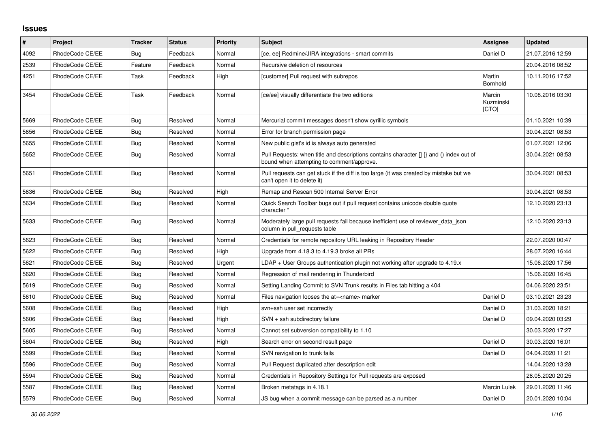## **Issues**

| $\pmb{\#}$ | <b>Project</b>  | <b>Tracker</b> | <b>Status</b> | <b>Priority</b> | <b>Subject</b>                                                                                                                         | Assignee                     | <b>Updated</b>   |
|------------|-----------------|----------------|---------------|-----------------|----------------------------------------------------------------------------------------------------------------------------------------|------------------------------|------------------|
| 4092       | RhodeCode CE/EE | Bug            | Feedback      | Normal          | [ce, ee] Redmine/JIRA integrations - smart commits                                                                                     | Daniel D                     | 21.07.2016 12:59 |
| 2539       | RhodeCode CE/EE | Feature        | Feedback      | Normal          | Recursive deletion of resources                                                                                                        |                              | 20.04.2016 08:52 |
| 4251       | RhodeCode CE/EE | Task           | Feedback      | High            | [customer] Pull request with subrepos                                                                                                  | Martin<br>Bornhold           | 10.11.2016 17:52 |
| 3454       | RhodeCode CE/EE | Task           | Feedback      | Normal          | [ce/ee] visually differentiate the two editions                                                                                        | Marcin<br>Kuzminski<br>[CTO] | 10.08.2016 03:30 |
| 5669       | RhodeCode CE/EE | Bug            | Resolved      | Normal          | Mercurial commit messages doesn't show cyrillic symbols                                                                                |                              | 01.10.2021 10:39 |
| 5656       | RhodeCode CE/EE | <b>Bug</b>     | Resolved      | Normal          | Error for branch permission page                                                                                                       |                              | 30.04.2021 08:53 |
| 5655       | RhodeCode CE/EE | <b>Bug</b>     | Resolved      | Normal          | New public gist's id is always auto generated                                                                                          |                              | 01.07.2021 12:06 |
| 5652       | RhodeCode CE/EE | Bug            | Resolved      | Normal          | Pull Requests: when title and descriptions contains character $\iint$ and () index out of<br>bound when attempting to comment/approve. |                              | 30.04.2021 08:53 |
| 5651       | RhodeCode CE/EE | <b>Bug</b>     | Resolved      | Normal          | Pull requests can get stuck if the diff is too large (it was created by mistake but we<br>can't open it to delete it)                  |                              | 30.04.2021 08:53 |
| 5636       | RhodeCode CE/EE | Bug            | Resolved      | High            | Remap and Rescan 500 Internal Server Error                                                                                             |                              | 30.04.2021 08:53 |
| 5634       | RhodeCode CE/EE | Bug            | Resolved      | Normal          | Quick Search Toolbar bugs out if pull request contains unicode double quote<br>character "                                             |                              | 12.10.2020 23:13 |
| 5633       | RhodeCode CE/EE | Bug            | Resolved      | Normal          | Moderately large pull requests fail because inefficient use of reviewer_data_json<br>column in pull requests table                     |                              | 12.10.2020 23:13 |
| 5623       | RhodeCode CE/EE | Bug            | Resolved      | Normal          | Credentials for remote repository URL leaking in Repository Header                                                                     |                              | 22.07.2020 00:47 |
| 5622       | RhodeCode CE/EE | Bug            | Resolved      | High            | Upgrade from 4.18.3 to 4.19.3 broke all PRs                                                                                            |                              | 28.07.2020 16:44 |
| 5621       | RhodeCode CE/EE | Bug            | Resolved      | Urgent          | $LDAP + User Groups$ authentication plugin not working after upgrade to 4.19. $x$                                                      |                              | 15.06.2020 17:56 |
| 5620       | RhodeCode CE/EE | <b>Bug</b>     | Resolved      | Normal          | Regression of mail rendering in Thunderbird                                                                                            |                              | 15.06.2020 16:45 |
| 5619       | RhodeCode CE/EE | Bug            | Resolved      | Normal          | Setting Landing Commit to SVN Trunk results in Files tab hitting a 404                                                                 |                              | 04.06.2020 23:51 |
| 5610       | RhodeCode CE/EE | Bug            | Resolved      | Normal          | Files navigation looses the at= <name> marker</name>                                                                                   | Daniel D                     | 03.10.2021 23:23 |
| 5608       | RhodeCode CE/EE | <b>Bug</b>     | Resolved      | High            | svn+ssh user set incorrectly                                                                                                           | Daniel D                     | 31.03.2020 18:21 |
| 5606       | RhodeCode CE/EE | Bug            | Resolved      | High            | SVN + ssh subdirectory failure                                                                                                         | Daniel D                     | 09.04.2020 03:29 |
| 5605       | RhodeCode CE/EE | Bug            | Resolved      | Normal          | Cannot set subversion compatibility to 1.10                                                                                            |                              | 30.03.2020 17:27 |
| 5604       | RhodeCode CE/EE | Bug            | Resolved      | High            | Search error on second result page                                                                                                     | Daniel D                     | 30.03.2020 16:01 |
| 5599       | RhodeCode CE/EE | <b>Bug</b>     | Resolved      | Normal          | SVN navigation to trunk fails                                                                                                          | Daniel D                     | 04.04.2020 11:21 |
| 5596       | RhodeCode CE/EE | Bug            | Resolved      | Normal          | Pull Request duplicated after description edit                                                                                         |                              | 14.04.2020 13:28 |
| 5594       | RhodeCode CE/EE | <b>Bug</b>     | Resolved      | Normal          | Credentials in Repository Settings for Pull requests are exposed                                                                       |                              | 28.05.2020 20:25 |
| 5587       | RhodeCode CE/EE | <b>Bug</b>     | Resolved      | Normal          | Broken metatags in 4.18.1                                                                                                              | <b>Marcin Lulek</b>          | 29.01.2020 11:46 |
| 5579       | RhodeCode CE/EE | Bug            | Resolved      | Normal          | JS bug when a commit message can be parsed as a number                                                                                 | Daniel D                     | 20.01.2020 10:04 |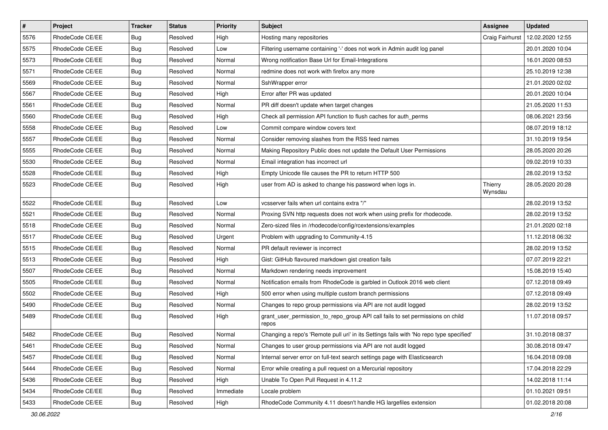| $\pmb{\#}$ | Project         | <b>Tracker</b> | <b>Status</b> | <b>Priority</b> | Subject                                                                                 | Assignee           | <b>Updated</b>   |
|------------|-----------------|----------------|---------------|-----------------|-----------------------------------------------------------------------------------------|--------------------|------------------|
| 5576       | RhodeCode CE/EE | <b>Bug</b>     | Resolved      | High            | Hosting many repositories                                                               | Craig Fairhurst    | 12.02.2020 12:55 |
| 5575       | RhodeCode CE/EE | Bug            | Resolved      | Low             | Filtering username containing '-' does not work in Admin audit log panel                |                    | 20.01.2020 10:04 |
| 5573       | RhodeCode CE/EE | Bug            | Resolved      | Normal          | Wrong notification Base Url for Email-Integrations                                      |                    | 16.01.2020 08:53 |
| 5571       | RhodeCode CE/EE | <b>Bug</b>     | Resolved      | Normal          | redmine does not work with firefox any more                                             |                    | 25.10.2019 12:38 |
| 5569       | RhodeCode CE/EE | <b>Bug</b>     | Resolved      | Normal          | SshWrapper error                                                                        |                    | 21.01.2020 02:02 |
| 5567       | RhodeCode CE/EE | Bug            | Resolved      | High            | Error after PR was updated                                                              |                    | 20.01.2020 10:04 |
| 5561       | RhodeCode CE/EE | Bug            | Resolved      | Normal          | PR diff doesn't update when target changes                                              |                    | 21.05.2020 11:53 |
| 5560       | RhodeCode CE/EE | <b>Bug</b>     | Resolved      | High            | Check all permission API function to flush caches for auth_perms                        |                    | 08.06.2021 23:56 |
| 5558       | RhodeCode CE/EE | Bug            | Resolved      | Low             | Commit compare window covers text                                                       |                    | 08.07.2019 18:12 |
| 5557       | RhodeCode CE/EE | <b>Bug</b>     | Resolved      | Normal          | Consider removing slashes from the RSS feed names                                       |                    | 31.10.2019 19:54 |
| 5555       | RhodeCode CE/EE | <b>Bug</b>     | Resolved      | Normal          | Making Repository Public does not update the Default User Permissions                   |                    | 28.05.2020 20:26 |
| 5530       | RhodeCode CE/EE | <b>Bug</b>     | Resolved      | Normal          | Email integration has incorrect url                                                     |                    | 09.02.2019 10:33 |
| 5528       | RhodeCode CE/EE | Bug            | Resolved      | High            | Empty Unicode file causes the PR to return HTTP 500                                     |                    | 28.02.2019 13:52 |
| 5523       | RhodeCode CE/EE | Bug            | Resolved      | High            | user from AD is asked to change his password when logs in.                              | Thierry<br>Wynsdau | 28.05.2020 20:28 |
| 5522       | RhodeCode CE/EE | <b>Bug</b>     | Resolved      | Low             | vcsserver fails when url contains extra "/"                                             |                    | 28.02.2019 13:52 |
| 5521       | RhodeCode CE/EE | <b>Bug</b>     | Resolved      | Normal          | Proxing SVN http requests does not work when using prefix for rhodecode.                |                    | 28.02.2019 13:52 |
| 5518       | RhodeCode CE/EE | <b>Bug</b>     | Resolved      | Normal          | Zero-sized files in /rhodecode/config/rcextensions/examples                             |                    | 21.01.2020 02:18 |
| 5517       | RhodeCode CE/EE | <b>Bug</b>     | Resolved      | Urgent          | Problem with upgrading to Community-4.15                                                |                    | 11.12.2018 06:32 |
| 5515       | RhodeCode CE/EE | Bug            | Resolved      | Normal          | PR default reviewer is incorrect                                                        |                    | 28.02.2019 13:52 |
| 5513       | RhodeCode CE/EE | Bug            | Resolved      | High            | Gist: GitHub flavoured markdown gist creation fails                                     |                    | 07.07.2019 22:21 |
| 5507       | RhodeCode CE/EE | Bug            | Resolved      | Normal          | Markdown rendering needs improvement                                                    |                    | 15.08.2019 15:40 |
| 5505       | RhodeCode CE/EE | <b>Bug</b>     | Resolved      | Normal          | Notification emails from RhodeCode is garbled in Outlook 2016 web client                |                    | 07.12.2018 09:49 |
| 5502       | RhodeCode CE/EE | <b>Bug</b>     | Resolved      | High            | 500 error when using multiple custom branch permissions                                 |                    | 07.12.2018 09:49 |
| 5490       | RhodeCode CE/EE | <b>Bug</b>     | Resolved      | Normal          | Changes to repo group permissions via API are not audit logged                          |                    | 28.02.2019 13:52 |
| 5489       | RhodeCode CE/EE | Bug            | Resolved      | High            | grant_user_permission_to_repo_group API call fails to set permissions on child<br>repos |                    | 11.07.2018 09:57 |
| 5482       | RhodeCode CE/EE | Bug            | Resolved      | Normal          | Changing a repo's 'Remote pull uri' in its Settings fails with 'No repo type specified' |                    | 31.10.2018 08:37 |
| 5461       | RhodeCode CE/EE | <b>Bug</b>     | Resolved      | Normal          | Changes to user group permissions via API are not audit logged                          |                    | 30.08.2018 09:47 |
| 5457       | RhodeCode CE/EE | Bug            | Resolved      | Normal          | Internal server error on full-text search settings page with Elasticsearch              |                    | 16.04.2018 09:08 |
| 5444       | RhodeCode CE/EE | <b>Bug</b>     | Resolved      | Normal          | Error while creating a pull request on a Mercurial repository                           |                    | 17.04.2018 22:29 |
| 5436       | RhodeCode CE/EE | <b>Bug</b>     | Resolved      | High            | Unable To Open Pull Request in 4.11.2                                                   |                    | 14.02.2018 11:14 |
| 5434       | RhodeCode CE/EE | <b>Bug</b>     | Resolved      | Immediate       | Locale problem                                                                          |                    | 01.10.2021 09:51 |
| 5433       | RhodeCode CE/EE | <b>Bug</b>     | Resolved      | High            | RhodeCode Community 4.11 doesn't handle HG largefiles extension                         |                    | 01.02.2018 20:08 |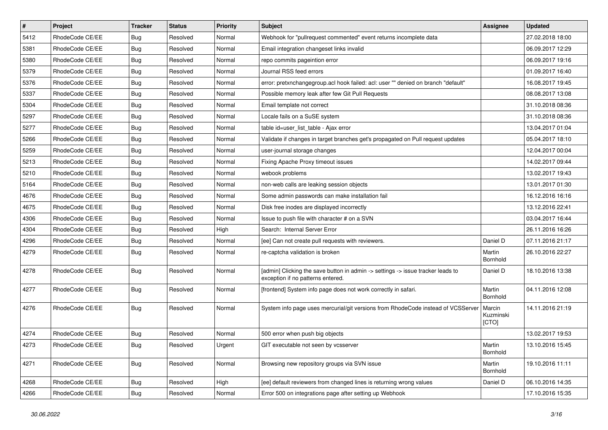| $\vert$ # | Project         | <b>Tracker</b> | <b>Status</b> | <b>Priority</b> | <b>Subject</b>                                                                                                       | <b>Assignee</b>              | <b>Updated</b>   |
|-----------|-----------------|----------------|---------------|-----------------|----------------------------------------------------------------------------------------------------------------------|------------------------------|------------------|
| 5412      | RhodeCode CE/EE | Bug            | Resolved      | Normal          | Webhook for "pullrequest commented" event returns incomplete data                                                    |                              | 27.02.2018 18:00 |
| 5381      | RhodeCode CE/EE | Bug            | Resolved      | Normal          | Email integration changeset links invalid                                                                            |                              | 06.09.2017 12:29 |
| 5380      | RhodeCode CE/EE | Bug            | Resolved      | Normal          | repo commits pageintion error                                                                                        |                              | 06.09.2017 19:16 |
| 5379      | RhodeCode CE/EE | Bug            | Resolved      | Normal          | Journal RSS feed errors                                                                                              |                              | 01.09.2017 16:40 |
| 5376      | RhodeCode CE/EE | <b>Bug</b>     | Resolved      | Normal          | error: pretxnchangegroup.acl hook failed: acl: user "" denied on branch "default"                                    |                              | 16.08.2017 19:45 |
| 5337      | RhodeCode CE/EE | Bug            | Resolved      | Normal          | Possible memory leak after few Git Pull Requests                                                                     |                              | 08.08.2017 13:08 |
| 5304      | RhodeCode CE/EE | Bug            | Resolved      | Normal          | Email template not correct                                                                                           |                              | 31.10.2018 08:36 |
| 5297      | RhodeCode CE/EE | Bug            | Resolved      | Normal          | Locale fails on a SuSE system                                                                                        |                              | 31.10.2018 08:36 |
| 5277      | RhodeCode CE/EE | <b>Bug</b>     | Resolved      | Normal          | table id=user list table - Ajax error                                                                                |                              | 13.04.2017 01:04 |
| 5266      | RhodeCode CE/EE | Bug            | Resolved      | Normal          | Validate if changes in target branches get's propagated on Pull request updates                                      |                              | 05.04.2017 18:10 |
| 5259      | RhodeCode CE/EE | Bug            | Resolved      | Normal          | user-journal storage changes                                                                                         |                              | 12.04.2017 00:04 |
| 5213      | RhodeCode CE/EE | Bug            | Resolved      | Normal          | Fixing Apache Proxy timeout issues                                                                                   |                              | 14.02.2017 09:44 |
| 5210      | RhodeCode CE/EE | Bug            | Resolved      | Normal          | webook problems                                                                                                      |                              | 13.02.2017 19:43 |
| 5164      | RhodeCode CE/EE | <b>Bug</b>     | Resolved      | Normal          | non-web calls are leaking session objects                                                                            |                              | 13.01.2017 01:30 |
| 4676      | RhodeCode CE/EE | Bug            | Resolved      | Normal          | Some admin passwords can make installation fail                                                                      |                              | 16.12.2016 16:16 |
| 4675      | RhodeCode CE/EE | Bug            | Resolved      | Normal          | Disk free inodes are displayed incorrectly                                                                           |                              | 13.12.2016 22:41 |
| 4306      | RhodeCode CE/EE | Bug            | Resolved      | Normal          | Issue to push file with character # on a SVN                                                                         |                              | 03.04.2017 16:44 |
| 4304      | RhodeCode CE/EE | <b>Bug</b>     | Resolved      | High            | Search: Internal Server Error                                                                                        |                              | 26.11.2016 16:26 |
| 4296      | RhodeCode CE/EE | Bug            | Resolved      | Normal          | [ee] Can not create pull requests with reviewers.                                                                    | Daniel D                     | 07.11.2016 21:17 |
| 4279      | RhodeCode CE/EE | Bug            | Resolved      | Normal          | re-captcha validation is broken                                                                                      | Martin<br>Bornhold           | 26.10.2016 22:27 |
| 4278      | RhodeCode CE/EE | Bug            | Resolved      | Normal          | [admin] Clicking the save button in admin -> settings -> issue tracker leads to<br>exception if no patterns entered. | Daniel D                     | 18.10.2016 13:38 |
| 4277      | RhodeCode CE/EE | Bug            | Resolved      | Normal          | [frontend] System info page does not work correctly in safari.                                                       | Martin<br>Bornhold           | 04.11.2016 12:08 |
| 4276      | RhodeCode CE/EE | Bug            | Resolved      | Normal          | System info page uses mercurial/git versions from RhodeCode instead of VCSServer                                     | Marcin<br>Kuzminski<br>[CTO] | 14.11.2016 21:19 |
| 4274      | RhodeCode CE/EE | Bug            | Resolved      | Normal          | 500 error when push big objects                                                                                      |                              | 13.02.2017 19:53 |
| 4273      | RhodeCode CE/EE | Bug            | Resolved      | Urgent          | GIT executable not seen by vcsserver                                                                                 | Martin<br>Bornhold           | 13.10.2016 15:45 |
| 4271      | RhodeCode CE/EE | Bug            | Resolved      | Normal          | Browsing new repository groups via SVN issue                                                                         | Martin<br>Bornhold           | 19.10.2016 11:11 |
| 4268      | RhodeCode CE/EE | Bug            | Resolved      | High            | [ee] default reviewers from changed lines is returning wrong values                                                  | Daniel D                     | 06.10.2016 14:35 |
| 4266      | RhodeCode CE/EE | <b>Bug</b>     | Resolved      | Normal          | Error 500 on integrations page after setting up Webhook                                                              |                              | 17.10.2016 15:35 |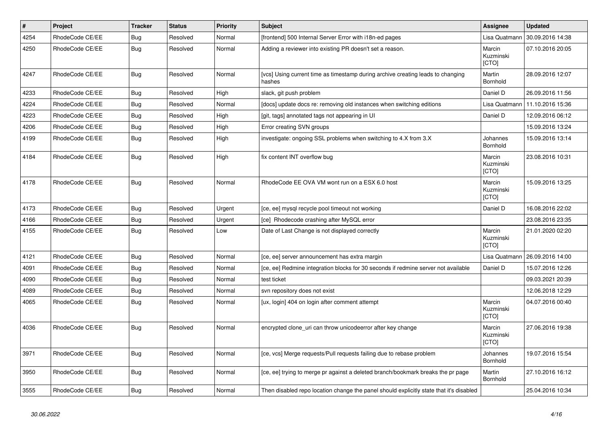| $\vert$ # | Project         | <b>Tracker</b> | <b>Status</b> | <b>Priority</b> | <b>Subject</b>                                                                            | Assignee                            | <b>Updated</b>   |
|-----------|-----------------|----------------|---------------|-----------------|-------------------------------------------------------------------------------------------|-------------------------------------|------------------|
| 4254      | RhodeCode CE/EE | Bug            | Resolved      | Normal          | [frontend] 500 Internal Server Error with i18n-ed pages                                   | Lisa Quatmann                       | 30.09.2016 14:38 |
| 4250      | RhodeCode CE/EE | Bug            | Resolved      | Normal          | Adding a reviewer into existing PR doesn't set a reason.                                  | Marcin<br>Kuzminski<br>[CTO]        | 07.10.2016 20:05 |
| 4247      | RhodeCode CE/EE | Bug            | Resolved      | Normal          | [vcs] Using current time as timestamp during archive creating leads to changing<br>hashes | Martin<br>Bornhold                  | 28.09.2016 12:07 |
| 4233      | RhodeCode CE/EE | Bug            | Resolved      | High            | slack, git push problem                                                                   | Daniel D                            | 26.09.2016 11:56 |
| 4224      | RhodeCode CE/EE | <b>Bug</b>     | Resolved      | Normal          | [docs] update docs re: removing old instances when switching editions                     | Lisa Quatmann                       | 11.10.2016 15:36 |
| 4223      | RhodeCode CE/EE | <b>Bug</b>     | Resolved      | High            | [git, tags] annotated tags not appearing in UI                                            | Daniel D                            | 12.09.2016 06:12 |
| 4206      | RhodeCode CE/EE | Bug            | Resolved      | High            | Error creating SVN groups                                                                 |                                     | 15.09.2016 13:24 |
| 4199      | RhodeCode CE/EE | Bug            | Resolved      | High            | investigate: ongoing SSL problems when switching to 4.X from 3.X                          | Johannes<br>Bornhold                | 15.09.2016 13:14 |
| 4184      | RhodeCode CE/EE | Bug            | Resolved      | High            | fix content INT overflow bug                                                              | Marcin<br>Kuzminski<br>[CTO]        | 23.08.2016 10:31 |
| 4178      | RhodeCode CE/EE | <b>Bug</b>     | Resolved      | Normal          | RhodeCode EE OVA VM wont run on a ESX 6.0 host                                            | Marcin<br>Kuzminski<br><b>[CTO]</b> | 15.09.2016 13:25 |
| 4173      | RhodeCode CE/EE | Bug            | Resolved      | Urgent          | [ce, ee] mysql recycle pool timeout not working                                           | Daniel D                            | 16.08.2016 22:02 |
| 4166      | RhodeCode CE/EE | <b>Bug</b>     | Resolved      | Urgent          | [ce] Rhodecode crashing after MySQL error                                                 |                                     | 23.08.2016 23:35 |
| 4155      | RhodeCode CE/EE | <b>Bug</b>     | Resolved      | Low             | Date of Last Change is not displayed correctly                                            | Marcin<br>Kuzminski<br>[CTO]        | 21.01.2020 02:20 |
| 4121      | RhodeCode CE/EE | Bug            | Resolved      | Normal          | [ce, ee] server announcement has extra margin                                             | Lisa Quatmann                       | 26.09.2016 14:00 |
| 4091      | RhodeCode CE/EE | <b>Bug</b>     | Resolved      | Normal          | [ce, ee] Redmine integration blocks for 30 seconds if redmine server not available        | Daniel D                            | 15.07.2016 12:26 |
| 4090      | RhodeCode CE/EE | <b>Bug</b>     | Resolved      | Normal          | test ticket                                                                               |                                     | 09.03.2021 20:39 |
| 4089      | RhodeCode CE/EE | Bug            | Resolved      | Normal          | svn repository does not exist                                                             |                                     | 12.06.2018 12:29 |
| 4065      | RhodeCode CE/EE | Bug            | Resolved      | Normal          | [ux, login] 404 on login after comment attempt                                            | Marcin<br>Kuzminski<br>[CTO]        | 04.07.2016 00:40 |
| 4036      | RhodeCode CE/EE | Bug            | Resolved      | Normal          | encrypted clone_uri can throw unicodeerror after key change                               | Marcin<br>Kuzminski<br>[CTO]        | 27.06.2016 19:38 |
| 3971      | RhodeCode CE/EE | Bug            | Resolved      | Normal          | [ce, vcs] Merge requests/Pull requests failing due to rebase problem                      | Johannes<br>Bornhold                | 19.07.2016 15:54 |
| 3950      | RhodeCode CE/EE | Bug            | Resolved      | Normal          | [ce, ee] trying to merge pr against a deleted branch/bookmark breaks the pr page          | Martin<br>Bornhold                  | 27.10.2016 16:12 |
| 3555      | RhodeCode CE/EE | <b>Bug</b>     | Resolved      | Normal          | Then disabled repo location change the panel should explicitly state that it's disabled   |                                     | 25.04.2016 10:34 |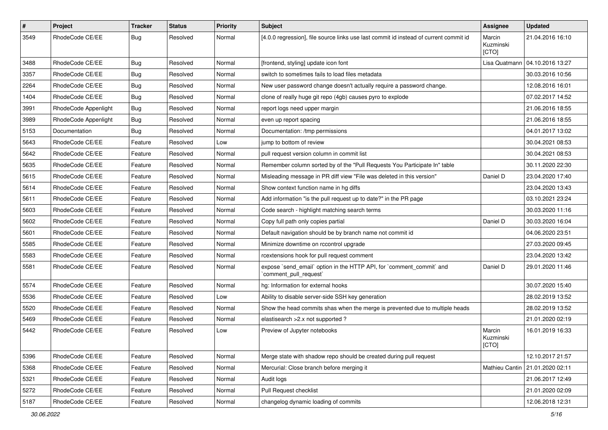| $\pmb{\#}$ | Project              | <b>Tracker</b> | <b>Status</b> | <b>Priority</b> | <b>Subject</b>                                                                                 | Assignee                            | <b>Updated</b>                    |
|------------|----------------------|----------------|---------------|-----------------|------------------------------------------------------------------------------------------------|-------------------------------------|-----------------------------------|
| 3549       | RhodeCode CE/EE      | Bug            | Resolved      | Normal          | [4.0.0 regression], file source links use last commit id instead of current commit id          | Marcin<br>Kuzminski<br><b>ICTOI</b> | 21.04.2016 16:10                  |
| 3488       | RhodeCode CE/EE      | Bug            | Resolved      | Normal          | [frontend, styling] update icon font                                                           | Lisa Quatmann                       | 04.10.2016 13:27                  |
| 3357       | RhodeCode CE/EE      | <b>Bug</b>     | Resolved      | Normal          | switch to sometimes fails to load files metadata                                               |                                     | 30.03.2016 10:56                  |
| 2264       | RhodeCode CE/EE      | <b>Bug</b>     | Resolved      | Normal          | New user password change doesn't actually require a password change.                           |                                     | 12.08.2016 16:01                  |
| 1404       | RhodeCode CE/EE      | Bug            | Resolved      | Normal          | clone of really huge git repo (4gb) causes pyro to explode                                     |                                     | 07.02.2017 14:52                  |
| 3991       | RhodeCode Appenlight | Bug            | Resolved      | Normal          | report logs need upper margin                                                                  |                                     | 21.06.2016 18:55                  |
| 3989       | RhodeCode Appenlight | Bug            | Resolved      | Normal          | even up report spacing                                                                         |                                     | 21.06.2016 18:55                  |
| 5153       | Documentation        | Bug            | Resolved      | Normal          | Documentation: /tmp permissions                                                                |                                     | 04.01.2017 13:02                  |
| 5643       | RhodeCode CE/EE      | Feature        | Resolved      | Low             | jump to bottom of review                                                                       |                                     | 30.04.2021 08:53                  |
| 5642       | RhodeCode CE/EE      | Feature        | Resolved      | Normal          | pull request version column in commit list                                                     |                                     | 30.04.2021 08:53                  |
| 5635       | RhodeCode CE/EE      | Feature        | Resolved      | Normal          | Remember column sorted by of the "Pull Requests You Participate In" table                      |                                     | 30.11.2020 22:30                  |
| 5615       | RhodeCode CE/EE      | Feature        | Resolved      | Normal          | Misleading message in PR diff view "File was deleted in this version"                          | Daniel D                            | 23.04.2020 17:40                  |
| 5614       | RhodeCode CE/EE      | Feature        | Resolved      | Normal          | Show context function name in hg diffs                                                         |                                     | 23.04.2020 13:43                  |
| 5611       | RhodeCode CE/EE      | Feature        | Resolved      | Normal          | Add information "is the pull request up to date?" in the PR page                               |                                     | 03.10.2021 23:24                  |
| 5603       | RhodeCode CE/EE      | Feature        | Resolved      | Normal          | Code search - highlight matching search terms                                                  |                                     | 30.03.2020 11:16                  |
| 5602       | RhodeCode CE/EE      | Feature        | Resolved      | Normal          | Copy full path only copies partial                                                             | Daniel D                            | 30.03.2020 16:04                  |
| 5601       | RhodeCode CE/EE      | Feature        | Resolved      | Normal          | Default navigation should be by branch name not commit id                                      |                                     | 04.06.2020 23:51                  |
| 5585       | RhodeCode CE/EE      | Feature        | Resolved      | Normal          | Minimize downtime on rccontrol upgrade                                                         |                                     | 27.03.2020 09:45                  |
| 5583       | RhodeCode CE/EE      | Feature        | Resolved      | Normal          | rcextensions hook for pull request comment                                                     |                                     | 23.04.2020 13:42                  |
| 5581       | RhodeCode CE/EE      | Feature        | Resolved      | Normal          | expose `send_email` option in the HTTP API, for `comment_commit` and<br>`comment_pull_request` | Daniel D                            | 29.01.2020 11:46                  |
| 5574       | RhodeCode CE/EE      | Feature        | Resolved      | Normal          | hg: Information for external hooks                                                             |                                     | 30.07.2020 15:40                  |
| 5536       | RhodeCode CE/EE      | Feature        | Resolved      | Low             | Ability to disable server-side SSH key generation                                              |                                     | 28.02.2019 13:52                  |
| 5520       | RhodeCode CE/EE      | Feature        | Resolved      | Normal          | Show the head commits shas when the merge is prevented due to multiple heads                   |                                     | 28.02.2019 13:52                  |
| 5469       | RhodeCode CE/EE      | Feature        | Resolved      | Normal          | elastisearch > 2.x not supported ?                                                             |                                     | 21.01.2020 02:19                  |
| 5442       | RhodeCode CE/EE      | Feature        | Resolved      | Low             | Preview of Jupyter notebooks                                                                   | Marcin<br>Kuzminski<br>[CTO]        | 16.01.2019 16:33                  |
| 5396       | RhodeCode CE/EE      | Feature        | Resolved      | Normal          | Merge state with shadow repo should be created during pull request                             |                                     | 12.10.2017 21:57                  |
| 5368       | RhodeCode CE/EE      | Feature        | Resolved      | Normal          | Mercurial: Close branch before merging it                                                      |                                     | Mathieu Cantin   21.01.2020 02:11 |
| 5321       | RhodeCode CE/EE      | Feature        | Resolved      | Normal          | Audit logs                                                                                     |                                     | 21.06.2017 12:49                  |
| 5272       | RhodeCode CE/EE      | Feature        | Resolved      | Normal          | Pull Request checklist                                                                         |                                     | 21.01.2020 02:09                  |
| 5187       | RhodeCode CE/EE      | Feature        | Resolved      | Normal          | changelog dynamic loading of commits                                                           |                                     | 12.06.2018 12:31                  |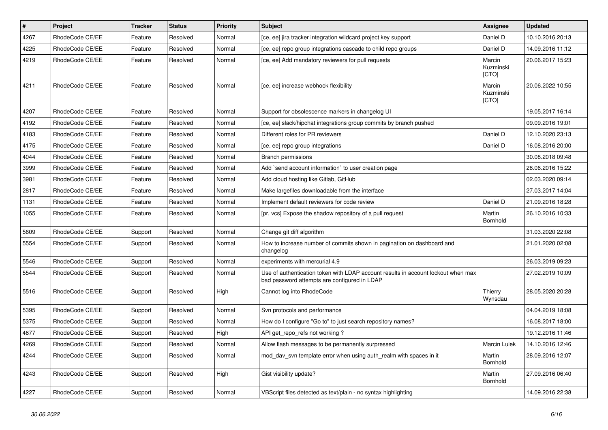| $\pmb{\#}$ | Project         | <b>Tracker</b> | <b>Status</b> | <b>Priority</b> | <b>Subject</b>                                                                                                                    | Assignee                     | <b>Updated</b>   |
|------------|-----------------|----------------|---------------|-----------------|-----------------------------------------------------------------------------------------------------------------------------------|------------------------------|------------------|
| 4267       | RhodeCode CE/EE | Feature        | Resolved      | Normal          | [ce, ee] jira tracker integration wildcard project key support                                                                    | Daniel D                     | 10.10.2016 20:13 |
| 4225       | RhodeCode CE/EE | Feature        | Resolved      | Normal          | [ce, ee] repo group integrations cascade to child repo groups                                                                     | Daniel D                     | 14.09.2016 11:12 |
| 4219       | RhodeCode CE/EE | Feature        | Resolved      | Normal          | [ce, ee] Add mandatory reviewers for pull requests                                                                                | Marcin<br>Kuzminski<br>[CTO] | 20.06.2017 15:23 |
| 4211       | RhodeCode CE/EE | Feature        | Resolved      | Normal          | [ce, ee] increase webhook flexibility                                                                                             | Marcin<br>Kuzminski<br>[CTO] | 20.06.2022 10:55 |
| 4207       | RhodeCode CE/EE | Feature        | Resolved      | Normal          | Support for obsolescence markers in changelog UI                                                                                  |                              | 19.05.2017 16:14 |
| 4192       | RhodeCode CE/EE | Feature        | Resolved      | Normal          | [ce, ee] slack/hipchat integrations group commits by branch pushed                                                                |                              | 09.09.2016 19:01 |
| 4183       | RhodeCode CE/EE | Feature        | Resolved      | Normal          | Different roles for PR reviewers                                                                                                  | Daniel D                     | 12.10.2020 23:13 |
| 4175       | RhodeCode CE/EE | Feature        | Resolved      | Normal          | [ce, ee] repo group integrations                                                                                                  | Daniel D                     | 16.08.2016 20:00 |
| 4044       | RhodeCode CE/EE | Feature        | Resolved      | Normal          | <b>Branch permissions</b>                                                                                                         |                              | 30.08.2018 09:48 |
| 3999       | RhodeCode CE/EE | Feature        | Resolved      | Normal          | Add `send account information` to user creation page                                                                              |                              | 28.06.2016 15:22 |
| 3981       | RhodeCode CE/EE | Feature        | Resolved      | Normal          | Add cloud hosting like Gitlab, GitHub                                                                                             |                              | 02.03.2020 09:14 |
| 2817       | RhodeCode CE/EE | Feature        | Resolved      | Normal          | Make largefiles downloadable from the interface                                                                                   |                              | 27.03.2017 14:04 |
| 1131       | RhodeCode CE/EE | Feature        | Resolved      | Normal          | Implement default reviewers for code review                                                                                       | Daniel D                     | 21.09.2016 18:28 |
| 1055       | RhodeCode CE/EE | Feature        | Resolved      | Normal          | [pr, vcs] Expose the shadow repository of a pull request                                                                          | Martin<br>Bornhold           | 26.10.2016 10:33 |
| 5609       | RhodeCode CE/EE | Support        | Resolved      | Normal          | Change git diff algorithm                                                                                                         |                              | 31.03.2020 22:08 |
| 5554       | RhodeCode CE/EE | Support        | Resolved      | Normal          | How to increase number of commits shown in pagination on dashboard and<br>changelog                                               |                              | 21.01.2020 02:08 |
| 5546       | RhodeCode CE/EE | Support        | Resolved      | Normal          | experiments with mercurial 4.9                                                                                                    |                              | 26.03.2019 09:23 |
| 5544       | RhodeCode CE/EE | Support        | Resolved      | Normal          | Use of authentication token with LDAP account results in account lockout when max<br>bad password attempts are configured in LDAP |                              | 27.02.2019 10:09 |
| 5516       | RhodeCode CE/EE | Support        | Resolved      | High            | Cannot log into RhodeCode                                                                                                         | Thierry<br>Wynsdau           | 28.05.2020 20:28 |
| 5395       | RhodeCode CE/EE | Support        | Resolved      | Normal          | Svn protocols and performance                                                                                                     |                              | 04.04.2019 18:08 |
| 5375       | RhodeCode CE/EE | Support        | Resolved      | Normal          | How do I configure "Go to" to just search repository names?                                                                       |                              | 16.08.2017 18:00 |
| 4677       | RhodeCode CE/EE | Support        | Resolved      | High            | API get_repo_refs not working?                                                                                                    |                              | 19.12.2016 11:46 |
| 4269       | RhodeCode CE/EE | Support        | Resolved      | Normal          | Allow flash messages to be permanently surpressed                                                                                 | Marcin Lulek                 | 14.10.2016 12:46 |
| 4244       | RhodeCode CE/EE | Support        | Resolved      | Normal          | mod_dav_svn template error when using auth_realm with spaces in it                                                                | Martin<br>Bornhold           | 28.09.2016 12:07 |
| 4243       | RhodeCode CE/EE | Support        | Resolved      | <b>High</b>     | Gist visibility update?                                                                                                           | Martin<br>Bornhold           | 27.09.2016 06:40 |
| 4227       | RhodeCode CE/EE | Support        | Resolved      | Normal          | VBScript files detected as text/plain - no syntax highlighting                                                                    |                              | 14.09.2016 22:38 |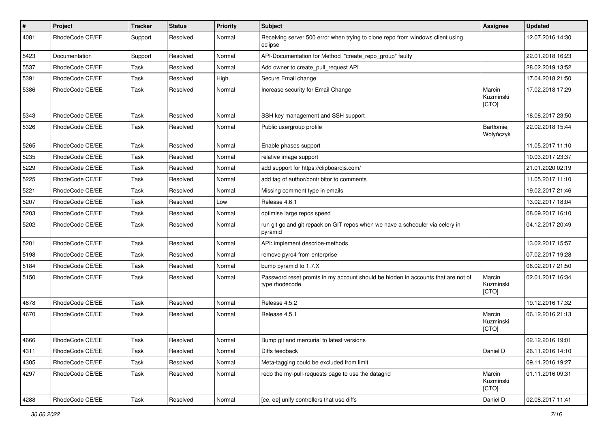| $\pmb{\#}$ | <b>Project</b>  | <b>Tracker</b> | <b>Status</b> | <b>Priority</b> | <b>Subject</b>                                                                                     | <b>Assignee</b>              | <b>Updated</b>   |
|------------|-----------------|----------------|---------------|-----------------|----------------------------------------------------------------------------------------------------|------------------------------|------------------|
| 4081       | RhodeCode CE/EE | Support        | Resolved      | Normal          | Receiving server 500 error when trying to clone repo from windows client using<br>eclipse          |                              | 12.07.2016 14:30 |
| 5423       | Documentation   | Support        | Resolved      | Normal          | API-Documentation for Method "create_repo_group" faulty                                            |                              | 22.01.2018 16:23 |
| 5537       | RhodeCode CE/EE | Task           | Resolved      | Normal          | Add owner to create pull request API                                                               |                              | 28.02.2019 13:52 |
| 5391       | RhodeCode CE/EE | Task           | Resolved      | High            | Secure Email change                                                                                |                              | 17.04.2018 21:50 |
| 5386       | RhodeCode CE/EE | Task           | Resolved      | Normal          | Increase security for Email Change                                                                 | Marcin<br>Kuzminski<br>[CTO] | 17.02.2018 17:29 |
| 5343       | RhodeCode CE/EE | Task           | Resolved      | Normal          | SSH key management and SSH support                                                                 |                              | 18.08.2017 23:50 |
| 5326       | RhodeCode CE/EE | Task           | Resolved      | Normal          | Public usergroup profile                                                                           | Bartłomiej<br>Wołyńczyk      | 22.02.2018 15:44 |
| 5265       | RhodeCode CE/EE | Task           | Resolved      | Normal          | Enable phases support                                                                              |                              | 11.05.2017 11:10 |
| 5235       | RhodeCode CE/EE | <b>Task</b>    | Resolved      | Normal          | relative image support                                                                             |                              | 10.03.2017 23:37 |
| 5229       | RhodeCode CE/EE | Task           | Resolved      | Normal          | add support for https://clipboardjs.com/                                                           |                              | 21.01.2020 02:19 |
| 5225       | RhodeCode CE/EE | Task           | Resolved      | Normal          | add tag of author/contribitor to comments                                                          |                              | 11.05.2017 11:10 |
| 5221       | RhodeCode CE/EE | Task           | Resolved      | Normal          | Missing comment type in emails                                                                     |                              | 19.02.2017 21:46 |
| 5207       | RhodeCode CE/EE | Task           | Resolved      | Low             | Release 4.6.1                                                                                      |                              | 13.02.2017 18:04 |
| 5203       | RhodeCode CE/EE | Task           | Resolved      | Normal          | optimise large repos speed                                                                         |                              | 08.09.2017 16:10 |
| 5202       | RhodeCode CE/EE | Task           | Resolved      | Normal          | run git gc and git repack on GIT repos when we have a scheduler via celery in<br>pyramid           |                              | 04.12.2017 20:49 |
| 5201       | RhodeCode CE/EE | <b>Task</b>    | Resolved      | Normal          | API: implement describe-methods                                                                    |                              | 13.02.2017 15:57 |
| 5198       | RhodeCode CE/EE | Task           | Resolved      | Normal          | remove pyro4 from enterprise                                                                       |                              | 07.02.2017 19:28 |
| 5184       | RhodeCode CE/EE | Task           | Resolved      | Normal          | bump pyramid to 1.7.X                                                                              |                              | 06.02.2017 21:50 |
| 5150       | RhodeCode CE/EE | Task           | Resolved      | Normal          | Password reset promts in my account should be hidden in accounts that are not of<br>type rhodecode | Marcin<br>Kuzminski<br>[CTO] | 02.01.2017 16:34 |
| 4678       | RhodeCode CE/EE | Task           | Resolved      | Normal          | Release 4.5.2                                                                                      |                              | 19.12.2016 17:32 |
| 4670       | RhodeCode CE/EE | Task           | Resolved      | Normal          | Release 4.5.1                                                                                      | Marcin<br>Kuzminski<br>[CTO] | 06.12.2016 21:13 |
| 4666       | RhodeCode CE/EE | Task           | Resolved      | Normal          | Bump git and mercurial to latest versions                                                          |                              | 02.12.2016 19:01 |
| 4311       | RhodeCode CE/EE | Task           | Resolved      | Normal          | Diffs feedback                                                                                     | Daniel D                     | 26.11.2016 14:10 |
| 4305       | RhodeCode CE/EE | Task           | Resolved      | Normal          | Meta-tagging could be excluded from limit                                                          |                              | 09.11.2016 19:27 |
| 4297       | RhodeCode CE/EE | Task           | Resolved      | Normal          | redo the my-pull-requests page to use the datagrid                                                 | Marcin<br>Kuzminski<br>[CTO] | 01.11.2016 09:31 |
| 4288       | RhodeCode CE/EE | Task           | Resolved      | Normal          | [ce, ee] unify controllers that use diffs                                                          | Daniel D                     | 02.08.2017 11:41 |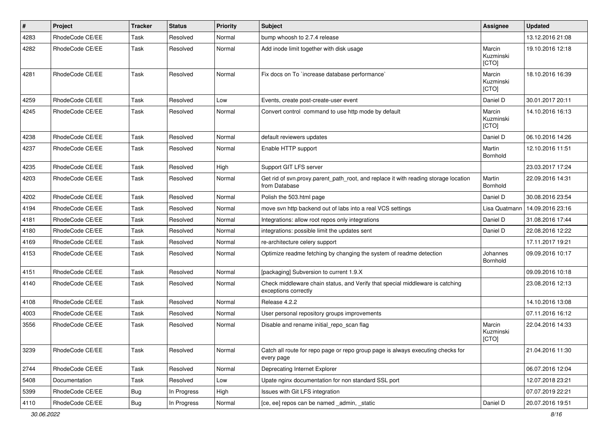| $\pmb{\#}$ | Project         | <b>Tracker</b> | <b>Status</b> | <b>Priority</b> | <b>Subject</b>                                                                                        | <b>Assignee</b>              | <b>Updated</b>   |
|------------|-----------------|----------------|---------------|-----------------|-------------------------------------------------------------------------------------------------------|------------------------------|------------------|
| 4283       | RhodeCode CE/EE | Task           | Resolved      | Normal          | bump whoosh to 2.7.4 release                                                                          |                              | 13.12.2016 21:08 |
| 4282       | RhodeCode CE/EE | Task           | Resolved      | Normal          | Add inode limit together with disk usage                                                              | Marcin<br>Kuzminski<br>[CTO] | 19.10.2016 12:18 |
| 4281       | RhodeCode CE/EE | Task           | Resolved      | Normal          | Fix docs on To `increase database performance`                                                        | Marcin<br>Kuzminski<br>[CTO] | 18.10.2016 16:39 |
| 4259       | RhodeCode CE/EE | Task           | Resolved      | Low             | Events, create post-create-user event                                                                 | Daniel D                     | 30.01.2017 20:11 |
| 4245       | RhodeCode CE/EE | Task           | Resolved      | Normal          | Convert control command to use http mode by default                                                   | Marcin<br>Kuzminski<br>[CTO] | 14.10.2016 16:13 |
| 4238       | RhodeCode CE/EE | Task           | Resolved      | Normal          | default reviewers updates                                                                             | Daniel D                     | 06.10.2016 14:26 |
| 4237       | RhodeCode CE/EE | Task           | Resolved      | Normal          | Enable HTTP support                                                                                   | Martin<br>Bornhold           | 12.10.2016 11:51 |
| 4235       | RhodeCode CE/EE | Task           | Resolved      | High            | Support GIT LFS server                                                                                |                              | 23.03.2017 17:24 |
| 4203       | RhodeCode CE/EE | Task           | Resolved      | Normal          | Get rid of svn.proxy.parent path root, and replace it with reading storage location<br>from Database  | Martin<br>Bornhold           | 22.09.2016 14:31 |
| 4202       | RhodeCode CE/EE | Task           | Resolved      | Normal          | Polish the 503.html page                                                                              | Daniel D                     | 30.08.2016 23:54 |
| 4194       | RhodeCode CE/EE | <b>Task</b>    | Resolved      | Normal          | move svn http backend out of labs into a real VCS settings                                            | Lisa Quatmann                | 14.09.2016 23:16 |
| 4181       | RhodeCode CE/EE | Task           | Resolved      | Normal          | Integrations: allow root repos only integrations                                                      | Daniel D                     | 31.08.2016 17:44 |
| 4180       | RhodeCode CE/EE | Task           | Resolved      | Normal          | integrations: possible limit the updates sent                                                         | Daniel D                     | 22.08.2016 12:22 |
| 4169       | RhodeCode CE/EE | Task           | Resolved      | Normal          | re-architecture celery support                                                                        |                              | 17.11.2017 19:21 |
| 4153       | RhodeCode CE/EE | Task           | Resolved      | Normal          | Optimize readme fetching by changing the system of readme detection                                   | Johannes<br>Bornhold         | 09.09.2016 10:17 |
| 4151       | RhodeCode CE/EE | Task           | Resolved      | Normal          | [packaging] Subversion to current 1.9.X                                                               |                              | 09.09.2016 10:18 |
| 4140       | RhodeCode CE/EE | Task           | Resolved      | Normal          | Check middleware chain status, and Verify that special middleware is catching<br>exceptions correctly |                              | 23.08.2016 12:13 |
| 4108       | RhodeCode CE/EE | Task           | Resolved      | Normal          | Release 4.2.2                                                                                         |                              | 14.10.2016 13:08 |
| 4003       | RhodeCode CE/EE | Task           | Resolved      | Normal          | User personal repository groups improvements                                                          |                              | 07.11.2016 16:12 |
| 3556       | RhodeCode CE/EE | Task           | Resolved      | Normal          | Disable and rename initial repo scan flag                                                             | Marcin<br>Kuzminski<br>[CTO] | 22.04.2016 14:33 |
| 3239       | RhodeCode CE/EE | Task           | Resolved      | Normal          | Catch all route for repo page or repo group page is always executing checks for<br>every page         |                              | 21.04.2016 11:30 |
| 2744       | RhodeCode CE/EE | Task           | Resolved      | Normal          | Deprecating Internet Explorer                                                                         |                              | 06.07.2016 12:04 |
| 5408       | Documentation   | Task           | Resolved      | Low             | Upate nginx documentation for non standard SSL port                                                   |                              | 12.07.2018 23:21 |
| 5399       | RhodeCode CE/EE | <b>Bug</b>     | In Progress   | High            | Issues with Git LFS integration                                                                       |                              | 07.07.2019 22:21 |
| 4110       | RhodeCode CE/EE | <b>Bug</b>     | In Progress   | Normal          | [ce, ee] repos can be named _admin, _static                                                           | Daniel D                     | 20.07.2016 19:51 |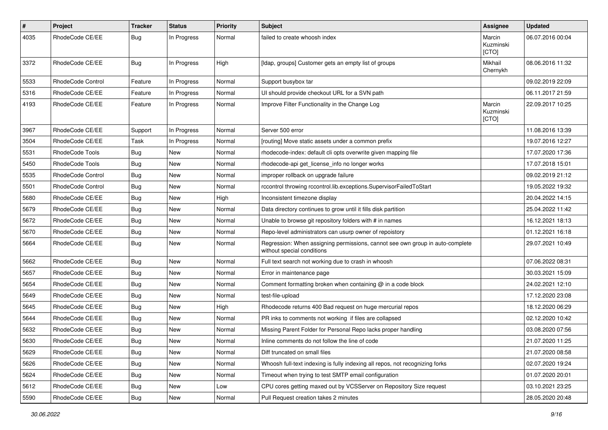| $\pmb{\#}$ | Project           | <b>Tracker</b> | <b>Status</b> | <b>Priority</b> | <b>Subject</b>                                                                                              | <b>Assignee</b>              | <b>Updated</b>   |
|------------|-------------------|----------------|---------------|-----------------|-------------------------------------------------------------------------------------------------------------|------------------------------|------------------|
| 4035       | RhodeCode CE/EE   | <b>Bug</b>     | In Progress   | Normal          | failed to create whoosh index                                                                               | Marcin<br>Kuzminski<br>[CTO] | 06.07.2016 00:04 |
| 3372       | RhodeCode CE/EE   | Bug            | In Progress   | High            | [Idap, groups] Customer gets an empty list of groups                                                        | Mikhail<br>Chernykh          | 08.06.2016 11:32 |
| 5533       | RhodeCode Control | Feature        | In Progress   | Normal          | Support busybox tar                                                                                         |                              | 09.02.2019 22:09 |
| 5316       | RhodeCode CE/EE   | Feature        | In Progress   | Normal          | UI should provide checkout URL for a SVN path                                                               |                              | 06.11.2017 21:59 |
| 4193       | RhodeCode CE/EE   | Feature        | In Progress   | Normal          | Improve Filter Functionality in the Change Log                                                              | Marcin<br>Kuzminski<br>[CTO] | 22.09.2017 10:25 |
| 3967       | RhodeCode CE/EE   | Support        | In Progress   | Normal          | Server 500 error                                                                                            |                              | 11.08.2016 13:39 |
| 3504       | RhodeCode CE/EE   | Task           | In Progress   | Normal          | [routing] Move static assets under a common prefix                                                          |                              | 19.07.2016 12:27 |
| 5531       | RhodeCode Tools   | Bug            | New           | Normal          | rhodecode-index: default cli opts overwrite given mapping file                                              |                              | 17.07.2020 17:36 |
| 5450       | RhodeCode Tools   | Bug            | New           | Normal          | rhodecode-api get license info no longer works                                                              |                              | 17.07.2018 15:01 |
| 5535       | RhodeCode Control | <b>Bug</b>     | <b>New</b>    | Normal          | improper rollback on upgrade failure                                                                        |                              | 09.02.2019 21:12 |
| 5501       | RhodeCode Control | Bug            | New           | Normal          | rccontrol throwing rccontrol.lib.exceptions.SupervisorFailedToStart                                         |                              | 19.05.2022 19:32 |
| 5680       | RhodeCode CE/EE   | <b>Bug</b>     | New           | High            | Inconsistent timezone display                                                                               |                              | 20.04.2022 14:15 |
| 5679       | RhodeCode CE/EE   | Bug            | <b>New</b>    | Normal          | Data directory continues to grow until it fills disk partition                                              |                              | 25.04.2022 11:42 |
| 5672       | RhodeCode CE/EE   | Bug            | <b>New</b>    | Normal          | Unable to browse git repository folders with # in names                                                     |                              | 16.12.2021 18:13 |
| 5670       | RhodeCode CE/EE   | Bug            | New           | Normal          | Repo-level administrators can usurp owner of repoistory                                                     |                              | 01.12.2021 16:18 |
| 5664       | RhodeCode CE/EE   | Bug            | New           | Normal          | Regression: When assigning permissions, cannot see own group in auto-complete<br>without special conditions |                              | 29.07.2021 10:49 |
| 5662       | RhodeCode CE/EE   | <b>Bug</b>     | New           | Normal          | Full text search not working due to crash in whoosh                                                         |                              | 07.06.2022 08:31 |
| 5657       | RhodeCode CE/EE   | Bug            | New           | Normal          | Error in maintenance page                                                                                   |                              | 30.03.2021 15:09 |
| 5654       | RhodeCode CE/EE   | Bug            | New           | Normal          | Comment formatting broken when containing @ in a code block                                                 |                              | 24.02.2021 12:10 |
| 5649       | RhodeCode CE/EE   | Bug            | <b>New</b>    | Normal          | test-file-upload                                                                                            |                              | 17.12.2020 23:08 |
| 5645       | RhodeCode CE/EE   | Bug            | New           | High            | Rhodecode returns 400 Bad request on huge mercurial repos                                                   |                              | 18.12.2020 06:29 |
| 5644       | RhodeCode CE/EE   | Bug            | New           | Normal          | PR inks to comments not working if files are collapsed                                                      |                              | 02.12.2020 10:42 |
| 5632       | RhodeCode CE/EE   | Bug            | New           | Normal          | Missing Parent Folder for Personal Repo lacks proper handling                                               |                              | 03.08.2020 07:56 |
| 5630       | RhodeCode CE/EE   | Bug            | New           | Normal          | Inline comments do not follow the line of code                                                              |                              | 21.07.2020 11:25 |
| 5629       | RhodeCode CE/EE   | Bug            | New           | Normal          | Diff truncated on small files                                                                               |                              | 21.07.2020 08:58 |
| 5626       | RhodeCode CE/EE   | <b>Bug</b>     | New           | Normal          | Whoosh full-text indexing is fully indexing all repos, not recognizing forks                                |                              | 02.07.2020 19:24 |
| 5624       | RhodeCode CE/EE   | <b>Bug</b>     | New           | Normal          | Timeout when trying to test SMTP email configuration                                                        |                              | 01.07.2020 20:01 |
| 5612       | RhodeCode CE/EE   | <b>Bug</b>     | New           | Low             | CPU cores getting maxed out by VCSServer on Repository Size request                                         |                              | 03.10.2021 23:25 |
| 5590       | RhodeCode CE/EE   | <b>Bug</b>     | New           | Normal          | Pull Request creation takes 2 minutes                                                                       |                              | 28.05.2020 20:48 |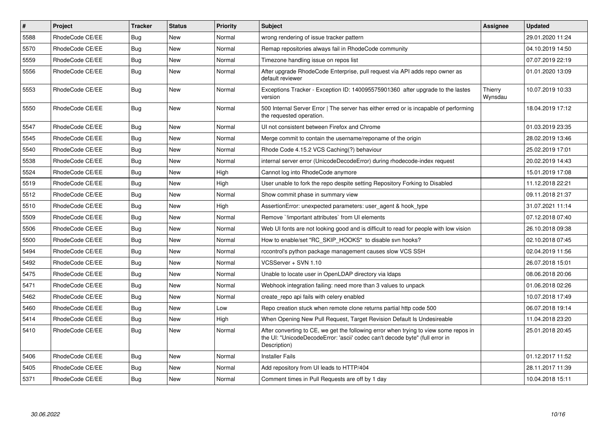| $\vert$ # | Project         | <b>Tracker</b> | <b>Status</b> | <b>Priority</b> | <b>Subject</b>                                                                                                                                                                       | <b>Assignee</b>    | <b>Updated</b>   |
|-----------|-----------------|----------------|---------------|-----------------|--------------------------------------------------------------------------------------------------------------------------------------------------------------------------------------|--------------------|------------------|
| 5588      | RhodeCode CE/EE | Bug            | <b>New</b>    | Normal          | wrong rendering of issue tracker pattern                                                                                                                                             |                    | 29.01.2020 11:24 |
| 5570      | RhodeCode CE/EE | <b>Bug</b>     | <b>New</b>    | Normal          | Remap repositories always fail in RhodeCode community                                                                                                                                |                    | 04.10.2019 14:50 |
| 5559      | RhodeCode CE/EE | Bug            | New           | Normal          | Timezone handling issue on repos list                                                                                                                                                |                    | 07.07.2019 22:19 |
| 5556      | RhodeCode CE/EE | Bug            | <b>New</b>    | Normal          | After upgrade RhodeCode Enterprise, pull request via API adds repo owner as<br>default reviewer                                                                                      |                    | 01.01.2020 13:09 |
| 5553      | RhodeCode CE/EE | <b>Bug</b>     | New           | Normal          | Exceptions Tracker - Exception ID: 140095575901360 after upgrade to the lastes<br>version                                                                                            | Thierry<br>Wynsdau | 10.07.2019 10:33 |
| 5550      | RhodeCode CE/EE | Bug            | New           | Normal          | 500 Internal Server Error   The server has either erred or is incapable of performing<br>the requested operation.                                                                    |                    | 18.04.2019 17:12 |
| 5547      | RhodeCode CE/EE | <b>Bug</b>     | <b>New</b>    | Normal          | UI not consistent between Firefox and Chrome                                                                                                                                         |                    | 01.03.2019 23:35 |
| 5545      | RhodeCode CE/EE | Bug            | New           | Normal          | Merge commit to contain the username/reponame of the origin                                                                                                                          |                    | 28.02.2019 13:46 |
| 5540      | RhodeCode CE/EE | Bug            | <b>New</b>    | Normal          | Rhode Code 4.15.2 VCS Caching(?) behaviour                                                                                                                                           |                    | 25.02.2019 17:01 |
| 5538      | RhodeCode CE/EE | Bug            | <b>New</b>    | Normal          | internal server error (UnicodeDecodeError) during rhodecode-index request                                                                                                            |                    | 20.02.2019 14:43 |
| 5524      | RhodeCode CE/EE | Bug            | New           | High            | Cannot log into RhodeCode anymore                                                                                                                                                    |                    | 15.01.2019 17:08 |
| 5519      | RhodeCode CE/EE | Bug            | <b>New</b>    | High            | User unable to fork the repo despite setting Repository Forking to Disabled                                                                                                          |                    | 11.12.2018 22:21 |
| 5512      | RhodeCode CE/EE | Bug            | <b>New</b>    | Normal          | Show commit phase in summary view                                                                                                                                                    |                    | 09.11.2018 21:37 |
| 5510      | RhodeCode CE/EE | <b>Bug</b>     | New           | High            | AssertionError: unexpected parameters: user_agent & hook_type                                                                                                                        |                    | 31.07.2021 11:14 |
| 5509      | RhodeCode CE/EE | Bug            | <b>New</b>    | Normal          | Remove `!important attributes` from UI elements                                                                                                                                      |                    | 07.12.2018 07:40 |
| 5506      | RhodeCode CE/EE | Bug            | <b>New</b>    | Normal          | Web UI fonts are not looking good and is difficult to read for people with low vision                                                                                                |                    | 26.10.2018 09:38 |
| 5500      | RhodeCode CE/EE | Bug            | <b>New</b>    | Normal          | How to enable/set "RC SKIP HOOKS" to disable svn hooks?                                                                                                                              |                    | 02.10.2018 07:45 |
| 5494      | RhodeCode CE/EE | Bug            | New           | Normal          | rccontrol's python package management causes slow VCS SSH                                                                                                                            |                    | 02.04.2019 11:56 |
| 5492      | RhodeCode CE/EE | Bug            | <b>New</b>    | Normal          | VCSServer + SVN 1.10                                                                                                                                                                 |                    | 26.07.2018 15:01 |
| 5475      | RhodeCode CE/EE | Bug            | <b>New</b>    | Normal          | Unable to locate user in OpenLDAP directory via Idaps                                                                                                                                |                    | 08.06.2018 20:06 |
| 5471      | RhodeCode CE/EE | Bug            | <b>New</b>    | Normal          | Webhook integration failing: need more than 3 values to unpack                                                                                                                       |                    | 01.06.2018 02:26 |
| 5462      | RhodeCode CE/EE | <b>Bug</b>     | <b>New</b>    | Normal          | create repo api fails with celery enabled                                                                                                                                            |                    | 10.07.2018 17:49 |
| 5460      | RhodeCode CE/EE | Bug            | New           | Low             | Repo creation stuck when remote clone returns partial http code 500                                                                                                                  |                    | 06.07.2018 19:14 |
| 5414      | RhodeCode CE/EE | Bug            | <b>New</b>    | High            | When Opening New Pull Request, Target Revision Default Is Undesireable                                                                                                               |                    | 11.04.2018 23:20 |
| 5410      | RhodeCode CE/EE | Bug            | <b>New</b>    | Normal          | After converting to CE, we get the following error when trying to view some repos in<br>the UI: "UnicodeDecodeError: 'ascii' codec can't decode byte" (full error in<br>Description) |                    | 25.01.2018 20:45 |
| 5406      | RhodeCode CE/EE | Bug            | <b>New</b>    | Normal          | <b>Installer Fails</b>                                                                                                                                                               |                    | 01.12.2017 11:52 |
| 5405      | RhodeCode CE/EE | Bug            | New           | Normal          | Add repository from UI leads to HTTP/404                                                                                                                                             |                    | 28.11.2017 11:39 |
| 5371      | RhodeCode CE/EE | Bug            | New           | Normal          | Comment times in Pull Requests are off by 1 day                                                                                                                                      |                    | 10.04.2018 15:11 |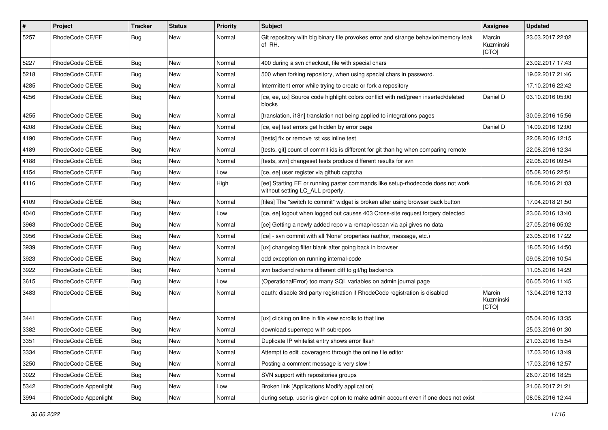| $\pmb{\#}$ | <b>Project</b>       | <b>Tracker</b> | <b>Status</b> | <b>Priority</b> | <b>Subject</b>                                                                                                     | Assignee                     | <b>Updated</b>   |
|------------|----------------------|----------------|---------------|-----------------|--------------------------------------------------------------------------------------------------------------------|------------------------------|------------------|
| 5257       | RhodeCode CE/EE      | <b>Bug</b>     | New           | Normal          | Git repository with big binary file provokes error and strange behavior/memory leak<br>of RH.                      | Marcin<br>Kuzminski<br>[CTO] | 23.03.2017 22:02 |
| 5227       | RhodeCode CE/EE      | <b>Bug</b>     | New           | Normal          | 400 during a svn checkout, file with special chars                                                                 |                              | 23.02.2017 17:43 |
| 5218       | RhodeCode CE/EE      | Bug            | <b>New</b>    | Normal          | 500 when forking repository, when using special chars in password.                                                 |                              | 19.02.2017 21:46 |
| 4285       | RhodeCode CE/EE      | <b>Bug</b>     | New           | Normal          | Intermittent error while trying to create or fork a repository                                                     |                              | 17.10.2016 22:42 |
| 4256       | RhodeCode CE/EE      | Bug            | New           | Normal          | [ce, ee, ux] Source code highlight colors conflict with red/green inserted/deleted<br>blocks                       | Daniel D                     | 03.10.2016 05:00 |
| 4255       | RhodeCode CE/EE      | Bug            | New           | Normal          | [translation, i18n] translation not being applied to integrations pages                                            |                              | 30.09.2016 15:56 |
| 4208       | RhodeCode CE/EE      | <b>Bug</b>     | New           | Normal          | [ce, ee] test errors get hidden by error page                                                                      | Daniel D                     | 14.09.2016 12:00 |
| 4190       | RhodeCode CE/EE      | <b>Bug</b>     | New           | Normal          | [tests] fix or remove rst xss inline test                                                                          |                              | 22.08.2016 12:15 |
| 4189       | RhodeCode CE/EE      | <b>Bug</b>     | New           | Normal          | [tests, git] count of commit ids is different for git than hg when comparing remote                                |                              | 22.08.2016 12:34 |
| 4188       | RhodeCode CE/EE      | Bug            | <b>New</b>    | Normal          | [tests, svn] changeset tests produce different results for svn                                                     |                              | 22.08.2016 09:54 |
| 4154       | RhodeCode CE/EE      | <b>Bug</b>     | New           | Low             | [ce, ee] user register via github captcha                                                                          |                              | 05.08.2016 22:51 |
| 4116       | RhodeCode CE/EE      | <b>Bug</b>     | New           | High            | [ee] Starting EE or running paster commands like setup-rhodecode does not work<br>without setting LC_ALL properly. |                              | 18.08.2016 21:03 |
| 4109       | RhodeCode CE/EE      | Bug            | <b>New</b>    | Normal          | [files] The "switch to commit" widget is broken after using browser back button                                    |                              | 17.04.2018 21:50 |
| 4040       | RhodeCode CE/EE      | Bug            | New           | Low             | [ce, ee] logout when logged out causes 403 Cross-site request forgery detected                                     |                              | 23.06.2016 13:40 |
| 3963       | RhodeCode CE/EE      | <b>Bug</b>     | New           | Normal          | [ce] Getting a newly added repo via remap/rescan via api gives no data                                             |                              | 27.05.2016 05:02 |
| 3956       | RhodeCode CE/EE      | <b>Bug</b>     | New           | Normal          | [ce] - svn commit with all 'None' properties (author, message, etc.)                                               |                              | 23.05.2016 17:22 |
| 3939       | RhodeCode CE/EE      | Bug            | New           | Normal          | [ux] changelog filter blank after going back in browser                                                            |                              | 18.05.2016 14:50 |
| 3923       | RhodeCode CE/EE      | <b>Bug</b>     | New           | Normal          | odd exception on running internal-code                                                                             |                              | 09.08.2016 10:54 |
| 3922       | RhodeCode CE/EE      | <b>Bug</b>     | New           | Normal          | svn backend returns different diff to git/hg backends                                                              |                              | 11.05.2016 14:29 |
| 3615       | RhodeCode CE/EE      | <b>Bug</b>     | New           | Low             | (OperationalError) too many SQL variables on admin journal page                                                    |                              | 06.05.2016 11:45 |
| 3483       | RhodeCode CE/EE      | <b>Bug</b>     | New           | Normal          | oauth: disable 3rd party registration if RhodeCode registration is disabled                                        | Marcin<br>Kuzminski<br>[CTO] | 13.04.2016 12:13 |
| 3441       | RhodeCode CE/EE      | <b>Bug</b>     | New           | Normal          | [ux] clicking on line in file view scrolls to that line                                                            |                              | 05.04.2016 13:35 |
| 3382       | RhodeCode CE/EE      | Bug            | New           | Normal          | download superrepo with subrepos                                                                                   |                              | 25.03.2016 01:30 |
| 3351       | RhodeCode CE/EE      | Bug            | New           | Normal          | Duplicate IP whitelist entry shows error flash                                                                     |                              | 21.03.2016 15:54 |
| 3334       | RhodeCode CE/EE      | <b>Bug</b>     | <b>New</b>    | Normal          | Attempt to edit .coveragerc through the online file editor                                                         |                              | 17.03.2016 13:49 |
| 3250       | RhodeCode CE/EE      | Bug            | New           | Normal          | Posting a comment message is very slow !                                                                           |                              | 17.03.2016 12:57 |
| 3022       | RhodeCode CE/EE      | <b>Bug</b>     | New           | Normal          | SVN support with repositories groups                                                                               |                              | 26.07.2016 18:25 |
| 5342       | RhodeCode Appenlight | Bug            | New           | Low             | Broken link [Applications Modify application]                                                                      |                              | 21.06.2017 21:21 |
| 3994       | RhodeCode Appenlight | Bug            | New           | Normal          | during setup, user is given option to make admin account even if one does not exist                                |                              | 08.06.2016 12:44 |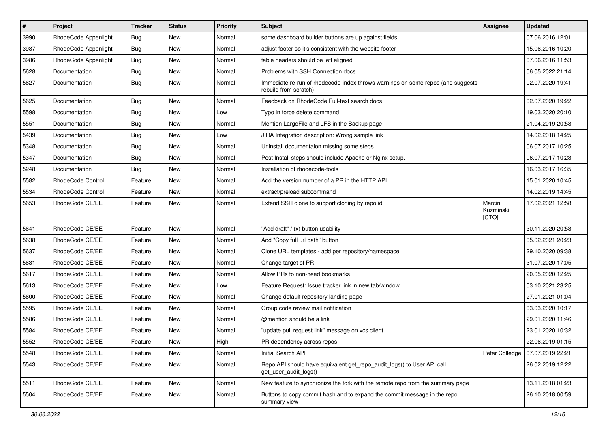| $\pmb{\#}$ | Project              | <b>Tracker</b> | <b>Status</b> | Priority | <b>Subject</b>                                                                                           | <b>Assignee</b>              | <b>Updated</b>   |
|------------|----------------------|----------------|---------------|----------|----------------------------------------------------------------------------------------------------------|------------------------------|------------------|
| 3990       | RhodeCode Appenlight | <b>Bug</b>     | New           | Normal   | some dashboard builder buttons are up against fields                                                     |                              | 07.06.2016 12:01 |
| 3987       | RhodeCode Appenlight | Bug            | <b>New</b>    | Normal   | adjust footer so it's consistent with the website footer                                                 |                              | 15.06.2016 10:20 |
| 3986       | RhodeCode Appenlight | Bug            | New           | Normal   | table headers should be left aligned                                                                     |                              | 07.06.2016 11:53 |
| 5628       | Documentation        | Bug            | New           | Normal   | Problems with SSH Connection docs                                                                        |                              | 06.05.2022 21:14 |
| 5627       | Documentation        | Bug            | <b>New</b>    | Normal   | Immediate re-run of rhodecode-index throws warnings on some repos (and suggests<br>rebuild from scratch) |                              | 02.07.2020 19:41 |
| 5625       | Documentation        | Bug            | <b>New</b>    | Normal   | Feedback on RhodeCode Full-text search docs                                                              |                              | 02.07.2020 19:22 |
| 5598       | Documentation        | Bug            | <b>New</b>    | Low      | Typo in force delete command                                                                             |                              | 19.03.2020 20:10 |
| 5551       | Documentation        | <b>Bug</b>     | New           | Normal   | Mention LargeFile and LFS in the Backup page                                                             |                              | 21.04.2019 20:58 |
| 5439       | Documentation        | Bug            | <b>New</b>    | Low      | JIRA Integration description: Wrong sample link                                                          |                              | 14.02.2018 14:25 |
| 5348       | Documentation        | <b>Bug</b>     | New           | Normal   | Uninstall documentaion missing some steps                                                                |                              | 06.07.2017 10:25 |
| 5347       | Documentation        | <b>Bug</b>     | New           | Normal   | Post Install steps should include Apache or Nginx setup.                                                 |                              | 06.07.2017 10:23 |
| 5248       | Documentation        | Bug            | <b>New</b>    | Normal   | Installation of rhodecode-tools                                                                          |                              | 16.03.2017 16:35 |
| 5582       | RhodeCode Control    | Feature        | New           | Normal   | Add the version number of a PR in the HTTP API                                                           |                              | 15.01.2020 10:45 |
| 5534       | RhodeCode Control    | Feature        | <b>New</b>    | Normal   | extract/preload subcommand                                                                               |                              | 14.02.2019 14:45 |
| 5653       | RhodeCode CE/EE      | Feature        | New           | Normal   | Extend SSH clone to support cloning by repo id.                                                          | Marcin<br>Kuzminski<br>[CTO] | 17.02.2021 12:58 |
| 5641       | RhodeCode CE/EE      | Feature        | New           | Normal   | "Add draft" / (x) button usability                                                                       |                              | 30.11.2020 20:53 |
| 5638       | RhodeCode CE/EE      | Feature        | <b>New</b>    | Normal   | Add "Copy full url path" button                                                                          |                              | 05.02.2021 20:23 |
| 5637       | RhodeCode CE/EE      | Feature        | <b>New</b>    | Normal   | Clone URL templates - add per repository/namespace                                                       |                              | 29.10.2020 09:38 |
| 5631       | RhodeCode CE/EE      | Feature        | New           | Normal   | Change target of PR                                                                                      |                              | 31.07.2020 17:05 |
| 5617       | RhodeCode CE/EE      | Feature        | <b>New</b>    | Normal   | Allow PRs to non-head bookmarks                                                                          |                              | 20.05.2020 12:25 |
| 5613       | RhodeCode CE/EE      | Feature        | New           | Low      | Feature Request: Issue tracker link in new tab/window                                                    |                              | 03.10.2021 23:25 |
| 5600       | RhodeCode CE/EE      | Feature        | <b>New</b>    | Normal   | Change default repository landing page                                                                   |                              | 27.01.2021 01:04 |
| 5595       | RhodeCode CE/EE      | Feature        | <b>New</b>    | Normal   | Group code review mail notification                                                                      |                              | 03.03.2020 10:17 |
| 5586       | RhodeCode CE/EE      | Feature        | New           | Normal   | @mention should be a link                                                                                |                              | 29.01.2020 11:46 |
| 5584       | RhodeCode CE/EE      | Feature        | New           | Normal   | "update pull request link" message on vcs client                                                         |                              | 23.01.2020 10:32 |
| 5552       | RhodeCode CE/EE      | Feature        | New           | High     | PR dependency across repos                                                                               |                              | 22.06.2019 01:15 |
| 5548       | RhodeCode CE/EE      | Feature        | New           | Normal   | Initial Search API                                                                                       | Peter Colledge               | 07.07.2019 22:21 |
| 5543       | RhodeCode CE/EE      | Feature        | New           | Normal   | Repo API should have equivalent get repo audit logs() to User API call<br>get_user_audit_logs()          |                              | 26.02.2019 12:22 |
| 5511       | RhodeCode CE/EE      | Feature        | New           | Normal   | New feature to synchronize the fork with the remote repo from the summary page                           |                              | 13.11.2018 01:23 |
| 5504       | RhodeCode CE/EE      | Feature        | New           | Normal   | Buttons to copy commit hash and to expand the commit message in the repo<br>summary view                 |                              | 26.10.2018 00:59 |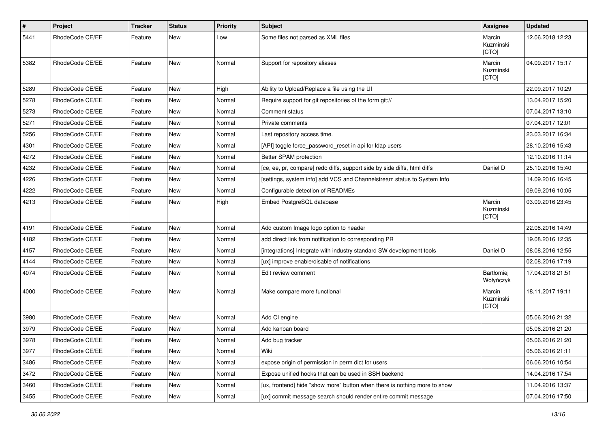| $\#$ | Project         | Tracker | <b>Status</b> | <b>Priority</b> | <b>Subject</b>                                                            | Assignee                     | <b>Updated</b>   |
|------|-----------------|---------|---------------|-----------------|---------------------------------------------------------------------------|------------------------------|------------------|
| 5441 | RhodeCode CE/EE | Feature | New           | Low             | Some files not parsed as XML files                                        | Marcin<br>Kuzminski<br>[CTO] | 12.06.2018 12:23 |
| 5382 | RhodeCode CE/EE | Feature | New           | Normal          | Support for repository aliases                                            | Marcin<br>Kuzminski<br>[CTO] | 04.09.2017 15:17 |
| 5289 | RhodeCode CE/EE | Feature | <b>New</b>    | High            | Ability to Upload/Replace a file using the UI                             |                              | 22.09.2017 10:29 |
| 5278 | RhodeCode CE/EE | Feature | New           | Normal          | Require support for git repositories of the form git://                   |                              | 13.04.2017 15:20 |
| 5273 | RhodeCode CE/EE | Feature | <b>New</b>    | Normal          | Comment status                                                            |                              | 07.04.2017 13:10 |
| 5271 | RhodeCode CE/EE | Feature | <b>New</b>    | Normal          | Private comments                                                          |                              | 07.04.2017 12:01 |
| 5256 | RhodeCode CE/EE | Feature | New           | Normal          | Last repository access time.                                              |                              | 23.03.2017 16:34 |
| 4301 | RhodeCode CE/EE | Feature | New           | Normal          | [API] toggle force_password_reset in api for Idap users                   |                              | 28.10.2016 15:43 |
| 4272 | RhodeCode CE/EE | Feature | New           | Normal          | Better SPAM protection                                                    |                              | 12.10.2016 11:14 |
| 4232 | RhodeCode CE/EE | Feature | New           | Normal          | [ce, ee, pr, compare] redo diffs, support side by side diffs, html diffs  | Daniel D                     | 25.10.2016 15:40 |
| 4226 | RhodeCode CE/EE | Feature | New           | Normal          | [settings, system info] add VCS and Channelstream status to System Info   |                              | 14.09.2016 16:45 |
| 4222 | RhodeCode CE/EE | Feature | New           | Normal          | Configurable detection of READMEs                                         |                              | 09.09.2016 10:05 |
| 4213 | RhodeCode CE/EE | Feature | New           | High            | Embed PostgreSQL database                                                 | Marcin<br>Kuzminski<br>[CTO] | 03.09.2016 23:45 |
| 4191 | RhodeCode CE/EE | Feature | <b>New</b>    | Normal          | Add custom Image logo option to header                                    |                              | 22.08.2016 14:49 |
| 4182 | RhodeCode CE/EE | Feature | <b>New</b>    | Normal          | add direct link from notification to corresponding PR                     |                              | 19.08.2016 12:35 |
| 4157 | RhodeCode CE/EE | Feature | <b>New</b>    | Normal          | [integrations] Integrate with industry standard SW development tools      | Daniel D                     | 08.08.2016 12:55 |
| 4144 | RhodeCode CE/EE | Feature | <b>New</b>    | Normal          | [ux] improve enable/disable of notifications                              |                              | 02.08.2016 17:19 |
| 4074 | RhodeCode CE/EE | Feature | New           | Normal          | Edit review comment                                                       | Bartłomiej<br>Wołyńczyk      | 17.04.2018 21:51 |
| 4000 | RhodeCode CE/EE | Feature | New           | Normal          | Make compare more functional                                              | Marcin<br>Kuzminski<br>[CTO] | 18.11.2017 19:11 |
| 3980 | RhodeCode CE/EE | Feature | <b>New</b>    | Normal          | Add CI engine                                                             |                              | 05.06.2016 21:32 |
| 3979 | RhodeCode CE/EE | Feature | New           | Normal          | Add kanban board                                                          |                              | 05.06.2016 21:20 |
| 3978 | RhodeCode CE/EE | Feature | New           | Normal          | Add bug tracker                                                           |                              | 05.06.2016 21:20 |
| 3977 | RhodeCode CE/EE | Feature | New           | Normal          | Wiki                                                                      |                              | 05.06.2016 21:11 |
| 3486 | RhodeCode CE/EE | Feature | New           | Normal          | expose origin of permission in perm dict for users                        |                              | 06.06.2016 10:54 |
| 3472 | RhodeCode CE/EE | Feature | New           | Normal          | Expose unified hooks that can be used in SSH backend                      |                              | 14.04.2016 17:54 |
| 3460 | RhodeCode CE/EE | Feature | New           | Normal          | [ux, frontend] hide "show more" button when there is nothing more to show |                              | 11.04.2016 13:37 |
| 3455 | RhodeCode CE/EE | Feature | New           | Normal          | [ux] commit message search should render entire commit message            |                              | 07.04.2016 17:50 |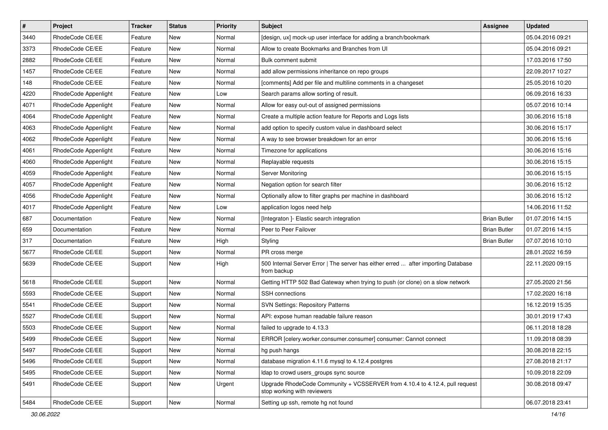| $\pmb{\#}$ | Project              | <b>Tracker</b> | <b>Status</b> | <b>Priority</b> | <b>Subject</b>                                                                                             | <b>Assignee</b>     | <b>Updated</b>   |
|------------|----------------------|----------------|---------------|-----------------|------------------------------------------------------------------------------------------------------------|---------------------|------------------|
| 3440       | RhodeCode CE/EE      | Feature        | New           | Normal          | [design, ux] mock-up user interface for adding a branch/bookmark                                           |                     | 05.04.2016 09:21 |
| 3373       | RhodeCode CE/EE      | Feature        | <b>New</b>    | Normal          | Allow to create Bookmarks and Branches from UI                                                             |                     | 05.04.2016 09:21 |
| 2882       | RhodeCode CE/EE      | Feature        | New           | Normal          | Bulk comment submit                                                                                        |                     | 17.03.2016 17:50 |
| 1457       | RhodeCode CE/EE      | Feature        | New           | Normal          | add allow permissions inheritance on repo groups                                                           |                     | 22.09.2017 10:27 |
| 148        | RhodeCode CE/EE      | Feature        | <b>New</b>    | Normal          | [comments] Add per file and multiline comments in a changeset                                              |                     | 25.05.2016 10:20 |
| 4220       | RhodeCode Appenlight | Feature        | New           | Low             | Search params allow sorting of result.                                                                     |                     | 06.09.2016 16:33 |
| 4071       | RhodeCode Appenlight | Feature        | New           | Normal          | Allow for easy out-out of assigned permissions                                                             |                     | 05.07.2016 10:14 |
| 4064       | RhodeCode Appenlight | Feature        | <b>New</b>    | Normal          | Create a multiple action feature for Reports and Logs lists                                                |                     | 30.06.2016 15:18 |
| 4063       | RhodeCode Appenlight | Feature        | New           | Normal          | add option to specify custom value in dashboard select                                                     |                     | 30.06.2016 15:17 |
| 4062       | RhodeCode Appenlight | Feature        | <b>New</b>    | Normal          | A way to see browser breakdown for an error                                                                |                     | 30.06.2016 15:16 |
| 4061       | RhodeCode Appenlight | Feature        | New           | Normal          | Timezone for applications                                                                                  |                     | 30.06.2016 15:16 |
| 4060       | RhodeCode Appenlight | Feature        | New           | Normal          | Replayable requests                                                                                        |                     | 30.06.2016 15:15 |
| 4059       | RhodeCode Appenlight | Feature        | <b>New</b>    | Normal          | Server Monitoring                                                                                          |                     | 30.06.2016 15:15 |
| 4057       | RhodeCode Appenlight | Feature        | New           | Normal          | Negation option for search filter                                                                          |                     | 30.06.2016 15:12 |
| 4056       | RhodeCode Appenlight | Feature        | New           | Normal          | Optionally allow to filter graphs per machine in dashboard                                                 |                     | 30.06.2016 15:12 |
| 4017       | RhodeCode Appenlight | Feature        | New           | Low             | application logos need help                                                                                |                     | 14.06.2016 11:52 |
| 687        | Documentation        | Feature        | New           | Normal          | [Integraton ]- Elastic search integration                                                                  | <b>Brian Butler</b> | 01.07.2016 14:15 |
| 659        | Documentation        | Feature        | <b>New</b>    | Normal          | Peer to Peer Failover                                                                                      | <b>Brian Butler</b> | 01.07.2016 14:15 |
| 317        | Documentation        | Feature        | New           | High            | Styling                                                                                                    | <b>Brian Butler</b> | 07.07.2016 10:10 |
| 5677       | RhodeCode CE/EE      | Support        | New           | Normal          | PR cross merge                                                                                             |                     | 28.01.2022 16:59 |
| 5639       | RhodeCode CE/EE      | Support        | <b>New</b>    | High            | 500 Internal Server Error   The server has either erred  after importing Database<br>from backup           |                     | 22.11.2020 09:15 |
| 5618       | RhodeCode CE/EE      | Support        | <b>New</b>    | Normal          | Getting HTTP 502 Bad Gateway when trying to push (or clone) on a slow network                              |                     | 27.05.2020 21:56 |
| 5593       | RhodeCode CE/EE      | Support        | New           | Normal          | SSH connections                                                                                            |                     | 17.02.2020 16:18 |
| 5541       | RhodeCode CE/EE      | Support        | New           | Normal          | <b>SVN Settings: Repository Patterns</b>                                                                   |                     | 16.12.2019 15:35 |
| 5527       | RhodeCode CE/EE      | Support        | <b>New</b>    | Normal          | API: expose human readable failure reason                                                                  |                     | 30.01.2019 17:43 |
| 5503       | RhodeCode CE/EE      | Support        | New           | Normal          | failed to upgrade to 4.13.3                                                                                |                     | 06.11.2018 18:28 |
| 5499       | RhodeCode CE/EE      | Support        | New           | Normal          | ERROR [celery.worker.consumer.consumer] consumer: Cannot connect                                           |                     | 11.09.2018 08:39 |
| 5497       | RhodeCode CE/EE      | Support        | New           | Normal          | hg push hangs                                                                                              |                     | 30.08.2018 22:15 |
| 5496       | RhodeCode CE/EE      | Support        | New           | Normal          | database migration 4.11.6 mysql to 4.12.4 postgres                                                         |                     | 27.08.2018 21:17 |
| 5495       | RhodeCode CE/EE      | Support        | New           | Normal          | Idap to crowd users_groups sync source                                                                     |                     | 10.09.2018 22:09 |
| 5491       | RhodeCode CE/EE      | Support        | New           | Urgent          | Upgrade RhodeCode Community + VCSSERVER from 4.10.4 to 4.12.4, pull request<br>stop working with reviewers |                     | 30.08.2018 09:47 |
| 5484       | RhodeCode CE/EE      | Support        | New           | Normal          | Setting up ssh, remote hg not found                                                                        |                     | 06.07.2018 23:41 |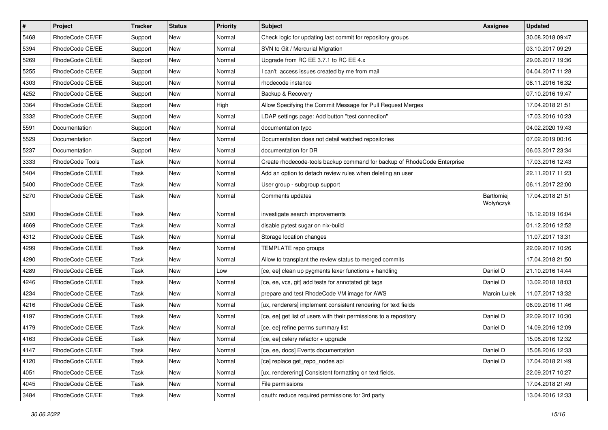| $\vert$ # | Project         | Tracker | <b>Status</b> | <b>Priority</b> | Subject                                                                  | Assignee                | <b>Updated</b>   |
|-----------|-----------------|---------|---------------|-----------------|--------------------------------------------------------------------------|-------------------------|------------------|
| 5468      | RhodeCode CE/EE | Support | New           | Normal          | Check logic for updating last commit for repository groups               |                         | 30.08.2018 09:47 |
| 5394      | RhodeCode CE/EE | Support | <b>New</b>    | Normal          | SVN to Git / Mercurial Migration                                         |                         | 03.10.2017 09:29 |
| 5269      | RhodeCode CE/EE | Support | New           | Normal          | Upgrade from RC EE 3.7.1 to RC EE 4.x                                    |                         | 29.06.2017 19:36 |
| 5255      | RhodeCode CE/EE | Support | New           | Normal          | I can't access issues created by me from mail                            |                         | 04.04.2017 11:28 |
| 4303      | RhodeCode CE/EE | Support | New           | Normal          | rhodecode instance                                                       |                         | 08.11.2016 16:32 |
| 4252      | RhodeCode CE/EE | Support | New           | Normal          | Backup & Recovery                                                        |                         | 07.10.2016 19:47 |
| 3364      | RhodeCode CE/EE | Support | New           | High            | Allow Specifying the Commit Message for Pull Request Merges              |                         | 17.04.2018 21:51 |
| 3332      | RhodeCode CE/EE | Support | New           | Normal          | LDAP settings page: Add button "test connection"                         |                         | 17.03.2016 10:23 |
| 5591      | Documentation   | Support | New           | Normal          | documentation typo                                                       |                         | 04.02.2020 19:43 |
| 5529      | Documentation   | Support | New           | Normal          | Documentation does not detail watched repositories                       |                         | 07.02.2019 00:16 |
| 5237      | Documentation   | Support | New           | Normal          | documentation for DR                                                     |                         | 06.03.2017 23:34 |
| 3333      | RhodeCode Tools | Task    | New           | Normal          | Create rhodecode-tools backup command for backup of RhodeCode Enterprise |                         | 17.03.2016 12:43 |
| 5404      | RhodeCode CE/EE | Task    | New           | Normal          | Add an option to detach review rules when deleting an user               |                         | 22.11.2017 11:23 |
| 5400      | RhodeCode CE/EE | Task    | New           | Normal          | User group - subgroup support                                            |                         | 06.11.2017 22:00 |
| 5270      | RhodeCode CE/EE | Task    | New           | Normal          | Comments updates                                                         | Bartłomiej<br>Wołyńczyk | 17.04.2018 21:51 |
| 5200      | RhodeCode CE/EE | Task    | New           | Normal          | investigate search improvements                                          |                         | 16.12.2019 16:04 |
| 4669      | RhodeCode CE/EE | Task    | New           | Normal          | disable pytest sugar on nix-build                                        |                         | 01.12.2016 12:52 |
| 4312      | RhodeCode CE/EE | Task    | New           | Normal          | Storage location changes                                                 |                         | 11.07.2017 13:31 |
| 4299      | RhodeCode CE/EE | Task    | New           | Normal          | TEMPLATE repo groups                                                     |                         | 22.09.2017 10:26 |
| 4290      | RhodeCode CE/EE | Task    | New           | Normal          | Allow to transplant the review status to merged commits                  |                         | 17.04.2018 21:50 |
| 4289      | RhodeCode CE/EE | Task    | New           | Low             | [ce, ee] clean up pygments lexer functions + handling                    | Daniel D                | 21.10.2016 14:44 |
| 4246      | RhodeCode CE/EE | Task    | New           | Normal          | [ce, ee, vcs, git] add tests for annotated git tags                      | Daniel D                | 13.02.2018 18:03 |
| 4234      | RhodeCode CE/EE | Task    | New           | Normal          | prepare and test RhodeCode VM image for AWS                              | Marcin Lulek            | 11.07.2017 13:32 |
| 4216      | RhodeCode CE/EE | Task    | New           | Normal          | [ux, renderers] implement consistent rendering for text fields           |                         | 06.09.2016 11:46 |
| 4197      | RhodeCode CE/EE | Task    | New           | Normal          | [ce, ee] get list of users with their permissions to a repository        | Daniel D                | 22.09.2017 10:30 |
| 4179      | RhodeCode CE/EE | Task    | New           | Normal          | [ce, ee] refine perms summary list                                       | Daniel D                | 14.09.2016 12:09 |
| 4163      | RhodeCode CE/EE | Task    | New           | Normal          | [ce, ee] celery refactor + upgrade                                       |                         | 15.08.2016 12:32 |
| 4147      | RhodeCode CE/EE | Task    | New           | Normal          | [ce, ee, docs] Events documentation                                      | Daniel D                | 15.08.2016 12:33 |
| 4120      | RhodeCode CE/EE | Task    | New           | Normal          | [ce] replace get_repo_nodes api                                          | Daniel D                | 17.04.2018 21:49 |
| 4051      | RhodeCode CE/EE | Task    | New           | Normal          | [ux, renderering] Consistent formatting on text fields.                  |                         | 22.09.2017 10:27 |
| 4045      | RhodeCode CE/EE | Task    | New           | Normal          | File permissions                                                         |                         | 17.04.2018 21:49 |
| 3484      | RhodeCode CE/EE | Task    | New           | Normal          | oauth: reduce required permissions for 3rd party                         |                         | 13.04.2016 12:33 |